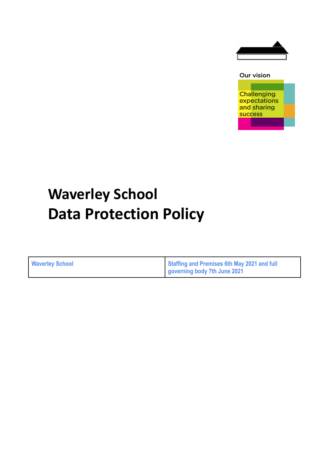

Our vision



# **Waverley School Data Protection Policy**

| <b>Waverley School</b> | Staffing and Premises 6th May 2021 and full |
|------------------------|---------------------------------------------|
|                        | governing body 7th June 2021                |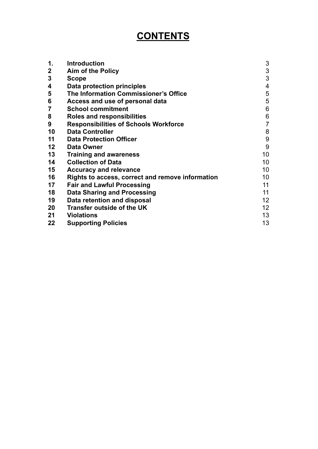# **CONTENTS**

| 1.             | <b>Introduction</b>                              | 3                |
|----------------|--------------------------------------------------|------------------|
| $\mathbf{2}$   | <b>Aim of the Policy</b>                         | 3                |
| 3              | <b>Scope</b>                                     | 3                |
| 4              | Data protection principles                       | 4                |
| 5              | The Information Commissioner's Office            | 5                |
| 6              | Access and use of personal data                  | 5                |
| $\overline{7}$ | <b>School commitment</b>                         | 6                |
| 8              | <b>Roles and responsibilities</b>                | 6                |
| 9              | <b>Responsibilities of Schools Workforce</b>     | $\overline{7}$   |
| 10             | <b>Data Controller</b>                           | 8                |
| 11             | <b>Data Protection Officer</b>                   | $\boldsymbol{9}$ |
| 12             | Data Owner                                       | 9                |
| 13             | <b>Training and awareness</b>                    | 10               |
| 14             | <b>Collection of Data</b>                        | 10               |
| 15             | <b>Accuracy and relevance</b>                    | 10               |
| 16             | Rights to access, correct and remove information | 10               |
| 17             | <b>Fair and Lawful Processing</b>                | 11               |
| 18             | <b>Data Sharing and Processing</b>               | 11               |
| 19             | Data retention and disposal                      | 12 <sup>2</sup>  |
| 20             | <b>Transfer outside of the UK</b>                | 12 <sup>2</sup>  |
| 21             | <b>Violations</b>                                | 13               |
| 22             | <b>Supporting Policies</b>                       | 13               |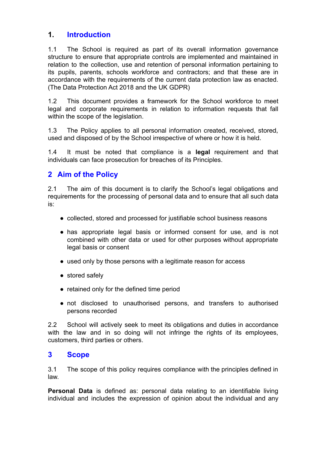# <span id="page-2-0"></span>**1. Introduction**

1.1 The School is required as part of its overall information governance structure to ensure that appropriate controls are implemented and maintained in relation to the collection, use and retention of personal information pertaining to its pupils, parents, schools workforce and contractors; and that these are in accordance with the requirements of the current data protection law as enacted. (The Data Protection Act 2018 and the UK GDPR)

1.2 This document provides a framework for the School workforce to meet legal and corporate requirements in relation to information requests that fall within the scope of the legislation.

1.3 The Policy applies to all personal information created, received, stored, used and disposed of by the School irrespective of where or how it is held.

1.4 It must be noted that compliance is a **legal** requirement and that individuals can face prosecution for breaches of its Principles.

# <span id="page-2-1"></span>**2 Aim of the Policy**

2.1 The aim of this document is to clarify the School's legal obligations and requirements for the processing of personal data and to ensure that all such data is:

- collected, stored and processed for justifiable school business reasons
- has appropriate legal basis or informed consent for use, and is not combined with other data or used for other purposes without appropriate legal basis or consent
- used only by those persons with a legitimate reason for access
- stored safely
- retained only for the defined time period
- not disclosed to unauthorised persons, and transfers to authorised persons recorded

2.2 School will actively seek to meet its obligations and duties in accordance with the law and in so doing will not infringe the rights of its employees, customers, third parties or others.

#### <span id="page-2-2"></span>**3 Scope**

3.1 The scope of this policy requires compliance with the principles defined in law.

**Personal Data** is defined as: personal data relating to an identifiable living individual and includes the expression of opinion about the individual and any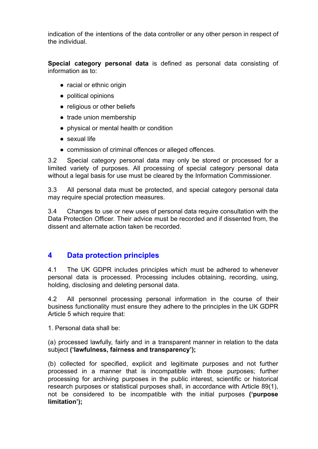indication of the intentions of the data controller or any other person in respect of the individual.

**Special category personal data** is defined as personal data consisting of information as to:

- racial or ethnic origin
- political opinions
- religious or other beliefs
- trade union membership
- physical or mental health or condition
- sexual life
- commission of criminal offences or alleged offences.

3.2 Special category personal data may only be stored or processed for a limited variety of purposes. All processing of special category personal data without a legal basis for use must be cleared by the Information Commissioner.

3.3 All personal data must be protected, and special category personal data may require special protection measures.

3.4 Changes to use or new uses of personal data require consultation with the Data Protection Officer. Their advice must be recorded and if dissented from, the dissent and alternate action taken be recorded.

# <span id="page-3-0"></span>**4 Data protection principles**

4.1 The UK GDPR includes principles which must be adhered to whenever personal data is processed. Processing includes obtaining, recording, using, holding, disclosing and deleting personal data.

4.2 All personnel processing personal information in the course of their business functionality must ensure they adhere to the principles in the UK GDPR Article 5 which require that:

1. Personal data shall be:

(a) processed lawfully, fairly and in a transparent manner in relation to the data subject **('lawfulness, fairness and transparency');**

(b) collected for specified, explicit and legitimate purposes and not further processed in a manner that is incompatible with those purposes; further processing for archiving purposes in the public interest, scientific or historical research purposes or statistical purposes shall, in accordance with Article 89(1), not be considered to be incompatible with the initial purposes **('purpose limitation');**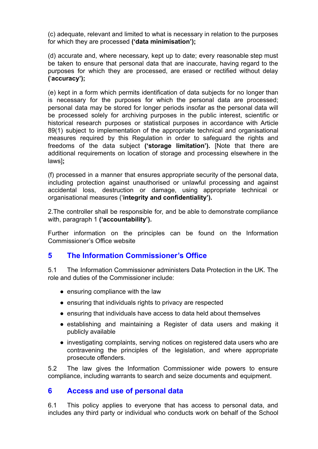(c) adequate, relevant and limited to what is necessary in relation to the purposes for which they are processed **('data minimisation');**

(d) accurate and, where necessary, kept up to date; every reasonable step must be taken to ensure that personal data that are inaccurate, having regard to the purposes for which they are processed, are erased or rectified without delay **(**'**accuracy');**

(e) kept in a form which permits identification of data subjects for no longer than is necessary for the purposes for which the personal data are processed; personal data may be stored for longer periods insofar as the personal data will be processed solely for archiving purposes in the public interest, scientific or historical research purposes or statistical purposes in accordance with Article 89(1) subject to implementation of the appropriate technical and organisational measures required by this Regulation in order to safeguard the rights and freedoms of the data subject **('storage limitation').** [Note that there are additional requirements on location of storage and processing elsewhere in the laws]**;**

(f) processed in a manner that ensures appropriate security of the personal data, including protection against unauthorised or unlawful processing and against accidental loss, destruction or damage, using appropriate technical or organisational measures ('**integrity and confidentiality').**

2.The controller shall be responsible for, and be able to demonstrate compliance with, paragraph 1 **('accountability').**

Further information on the principles can be found on the Information Commissioner's Office website

#### <span id="page-4-0"></span>**5 The Information Commissioner's Office**

5.1 The Information Commissioner administers Data Protection in the UK. The role and duties of the Commissioner include:

- **●** ensuring compliance with the law
- **●** ensuring that individuals rights to privacy are respected
- **●** ensuring that individuals have access to data held about themselves
- **●** establishing and maintaining a Register of data users and making it publicly available
- **●** investigating complaints, serving notices on registered data users who are contravening the principles of the legislation, and where appropriate prosecute offenders.

5.2 The law gives the Information Commissioner wide powers to ensure compliance, including warrants to search and seize documents and equipment.

#### <span id="page-4-1"></span>**6 Access and use of personal data**

6.1 This policy applies to everyone that has access to personal data, and includes any third party or individual who conducts work on behalf of the School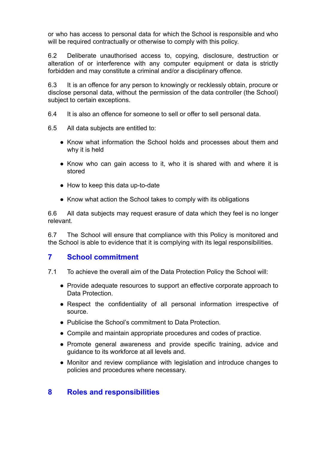or who has access to personal data for which the School is responsible and who will be required contractually or otherwise to comply with this policy.

6.2 Deliberate unauthorised access to, copying, disclosure, destruction or alteration of or interference with any computer equipment or data is strictly forbidden and may constitute a criminal and/or a disciplinary offence.

6.3 It is an offence for any person to knowingly or recklessly obtain, procure or disclose personal data, without the permission of the data controller (the School) subject to certain exceptions.

- 6.4 It is also an offence for someone to sell or offer to sell personal data.
- 6.5 All data subjects are entitled to:
	- Know what information the School holds and processes about them and why it is held
	- Know who can gain access to it, who it is shared with and where it is stored
	- How to keep this data up-to-date
	- Know what action the School takes to comply with its obligations

6.6 All data subjects may request erasure of data which they feel is no longer relevant.

6.7 The School will ensure that compliance with this Policy is monitored and the School is able to evidence that it is complying with its legal responsibilities.

# <span id="page-5-0"></span>**7 School commitment**

- 7.1 To achieve the overall aim of the Data Protection Policy the School will:
	- Provide adequate resources to support an effective corporate approach to Data Protection.
	- Respect the confidentiality of all personal information irrespective of source.
	- Publicise the School's commitment to Data Protection.
	- Compile and maintain appropriate procedures and codes of practice.
	- Promote general awareness and provide specific training, advice and guidance to its workforce at all levels and.
	- Monitor and review compliance with legislation and introduce changes to policies and procedures where necessary.

#### <span id="page-5-1"></span>**8 Roles and responsibilities**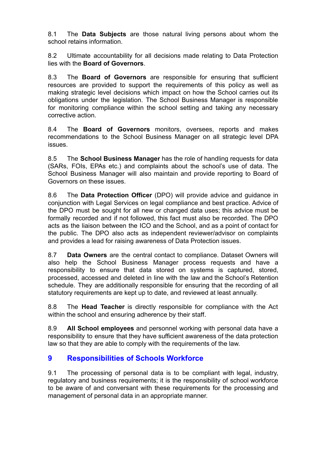8.1 The **Data Subjects** are those natural living persons about whom the school retains information.

8.2 Ultimate accountability for all decisions made relating to Data Protection lies with the **Board of Governors**.

8.3 The **Board of Governors** are responsible for ensuring that sufficient resources are provided to support the requirements of this policy as well as making strategic level decisions which impact on how the School carries out its obligations under the legislation. The School Business Manager is responsible for monitoring compliance within the school setting and taking any necessary corrective action.

8.4 The **Board of Governors** monitors, oversees, reports and makes recommendations to the School Business Manager on all strategic level DPA issues.

8.5 The **School Business Manager** has the role of handling requests for data (SARs, FOIs, EPAs etc.) and complaints about the school's use of data. The School Business Manager will also maintain and provide reporting to Board of Governors on these issues.

8.6 The **Data Protection Officer** (DPO) will provide advice and guidance in conjunction with Legal Services on legal compliance and best practice. Advice of the DPO must be sought for all new or changed data uses; this advice must be formally recorded and if not followed, this fact must also be recorded. The DPO acts as the liaison between the ICO and the School, and as a point of contact for the public. The DPO also acts as independent reviewer/advisor on complaints and provides a lead for raising awareness of Data Protection issues.

8.7 **Data Owners** are the central contact to compliance. Dataset Owners will also help the School Business Manager process requests and have a responsibility to ensure that data stored on systems is captured, stored, processed, accessed and deleted in line with the law and the School's Retention schedule. They are additionally responsible for ensuring that the recording of all statutory requirements are kept up to date, and reviewed at least annually.

8.8 The **Head Teacher** is directly responsible for compliance with the Act within the school and ensuring adherence by their staff.

8.9 **All School employees** and personnel working with personal data have a responsibility to ensure that they have sufficient awareness of the data protection law so that they are able to comply with the requirements of the law.

# <span id="page-6-0"></span>**9 Responsibilities of Schools Workforce**

9.1 The processing of personal data is to be compliant with legal, industry, regulatory and business requirements; it is the responsibility of school workforce to be aware of and conversant with these requirements for the processing and management of personal data in an appropriate manner.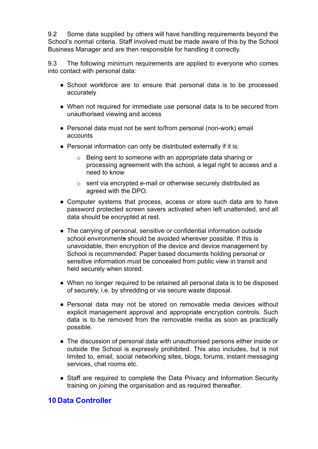9.2 Some data supplied by others will have handling requirements beyond the School's normal criteria. Staff involved must be made aware of this by the School Business Manager and are then responsible for handling it correctly.

9.3 The following minimum requirements are applied to everyone who comes into contact with personal data:

- School workforce are to ensure that personal data is to be processed accurately
- When not required for immediate use personal data is to be secured from unauthorised viewing and access
- Personal data must not be sent to/from personal (non-work) email accounts
- Personal information can only be distributed externally if it is:
	- o Being sent to someone with an appropriate data sharing or processing agreement with the school, a legal right to access and a need to know
	- o sent via encrypted e-mail or otherwise securely distributed as agreed with the DPO.
- Computer systems that process, access or store such data are to have password protected screen savers activated when left unattended, and all data should be encrypted at rest.
- The carrying of personal, sensitive or confidential information outside school environments should be avoided wherever possible. If this is unavoidable, then encryption of the device and device management by School is recommended. Paper based documents holding personal or sensitive information must be concealed from public view in transit and held securely when stored.
- When no longer required to be retained all personal data is to be disposed of securely, i.e. by shredding or via secure waste disposal.
- Personal data may not be stored on removable media devices without explicit management approval and appropriate encryption controls. Such data is to be removed from the removable media as soon as practically possible.
- The discussion of personal data with unauthorised persons either inside or outside the School is expressly prohibited. This also includes, but is not limited to, email, social networking sites, blogs, forums, instant messaging services, chat rooms etc.
- Staff are required to complete the Data Privacy and Information Security training on joining the organisation and as required thereafter.

# <span id="page-7-0"></span>**10 Data Controller**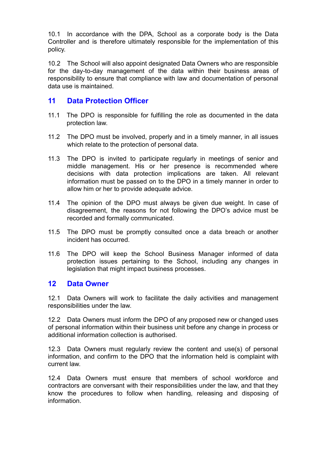10.1 In accordance with the DPA, School as a corporate body is the Data Controller and is therefore ultimately responsible for the implementation of this policy.

10.2 The School will also appoint designated Data Owners who are responsible for the day-to-day management of the data within their business areas of responsibility to ensure that compliance with law and documentation of personal data use is maintained.

# <span id="page-8-0"></span>**11 Data Protection Officer**

- 11.1 The DPO is responsible for fulfilling the role as documented in the data protection law.
- 11.2 The DPO must be involved, properly and in a timely manner, in all issues which relate to the protection of personal data.
- 11.3 The DPO is invited to participate regularly in meetings of senior and middle management. His or her presence is recommended where decisions with data protection implications are taken. All relevant information must be passed on to the DPO in a timely manner in order to allow him or her to provide adequate advice.
- 11.4 The opinion of the DPO must always be given due weight. In case of disagreement, the reasons for not following the DPO's advice must be recorded and formally communicated.
- 11.5 The DPO must be promptly consulted once a data breach or another incident has occurred.
- 11.6 The DPO will keep the School Business Manager informed of data protection issues pertaining to the School, including any changes in legislation that might impact business processes.

#### <span id="page-8-1"></span>**12 Data Owner**

12.1 Data Owners will work to facilitate the daily activities and management responsibilities under the law.

12.2 Data Owners must inform the DPO of any proposed new or changed uses of personal information within their business unit before any change in process or additional information collection is authorised.

12.3 Data Owners must regularly review the content and use(s) of personal information, and confirm to the DPO that the information held is complaint with current law.

12.4 Data Owners must ensure that members of school workforce and contractors are conversant with their responsibilities under the law, and that they know the procedures to follow when handling, releasing and disposing of information.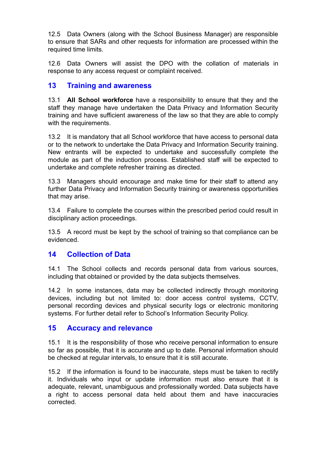12.5 Data Owners (along with the School Business Manager) are responsible to ensure that SARs and other requests for information are processed within the required time limits.

12.6 Data Owners will assist the DPO with the collation of materials in response to any access request or complaint received.

# <span id="page-9-0"></span>**13 Training and awareness**

13.1 **All School workforce** have a responsibility to ensure that they and the staff they manage have undertaken the Data Privacy and Information Security training and have sufficient awareness of the law so that they are able to comply with the requirements.

13.2 It is mandatory that all School workforce that have access to personal data or to the network to undertake the Data Privacy and Information Security training. New entrants will be expected to undertake and successfully complete the module as part of the induction process. Established staff will be expected to undertake and complete refresher training as directed.

13.3 Managers should encourage and make time for their staff to attend any further Data Privacy and Information Security training or awareness opportunities that may arise.

13.4 Failure to complete the courses within the prescribed period could result in disciplinary action proceedings.

13.5 A record must be kept by the school of training so that compliance can be evidenced.

# <span id="page-9-1"></span>**14 Collection of Data**

14.1 The School collects and records personal data from various sources, including that obtained or provided by the data subjects themselves.

14.2 In some instances, data may be collected indirectly through monitoring devices, including but not limited to: door access control systems, CCTV, personal recording devices and physical security logs or electronic monitoring systems. For further detail refer to School's Information Security Policy.

#### <span id="page-9-2"></span>**15 Accuracy and relevance**

15.1 It is the responsibility of those who receive personal information to ensure so far as possible, that it is accurate and up to date. Personal information should be checked at regular intervals, to ensure that it is still accurate.

15.2 If the information is found to be inaccurate, steps must be taken to rectify it. Individuals who input or update information must also ensure that it is adequate, relevant, unambiguous and professionally worded. Data subjects have a right to access personal data held about them and have inaccuracies corrected.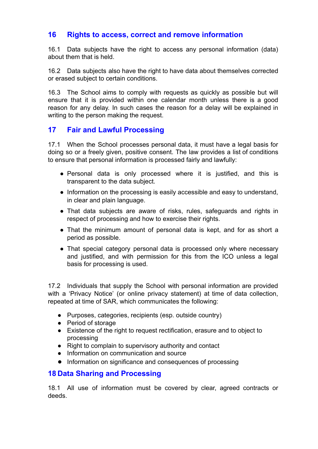# <span id="page-10-0"></span>**16 Rights to access, correct and remove information**

16.1 Data subjects have the right to access any personal information (data) about them that is held.

16.2 Data subjects also have the right to have data about themselves corrected or erased subject to certain conditions.

16.3 The School aims to comply with requests as quickly as possible but will ensure that it is provided within one calendar month unless there is a good reason for any delay. In such cases the reason for a delay will be explained in writing to the person making the request.

# <span id="page-10-1"></span>**17 Fair and Lawful Processing**

17.1 When the School processes personal data, it must have a legal basis for doing so or a freely given, positive consent. The law provides a list of conditions to ensure that personal information is processed fairly and lawfully:

- Personal data is only processed where it is justified, and this is transparent to the data subject.
- Information on the processing is easily accessible and easy to understand, in clear and plain language.
- That data subjects are aware of risks, rules, safeguards and rights in respect of processing and how to exercise their rights.
- That the minimum amount of personal data is kept, and for as short a period as possible.
- That special category personal data is processed only where necessary and justified, and with permission for this from the ICO unless a legal basis for processing is used.

17.2 Individuals that supply the School with personal information are provided with a 'Privacy Notice' (or online privacy statement) at time of data collection, repeated at time of SAR, which communicates the following:

- Purposes, categories, recipients (esp. outside country)
- Period of storage
- Existence of the right to request rectification, erasure and to object to processing
- Right to complain to supervisory authority and contact
- Information on communication and source
- **●** Information on significance and consequences of processing

# <span id="page-10-2"></span>**18 Data Sharing and Processing**

18.1 All use of information must be covered by clear, agreed contracts or deeds.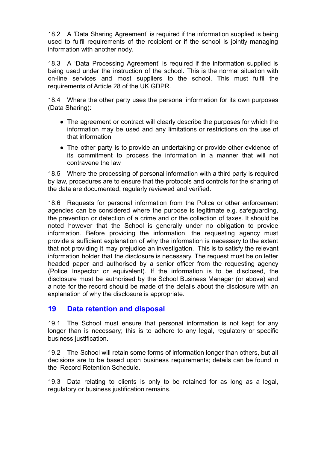18.2 A 'Data Sharing Agreement' is required if the information supplied is being used to fulfil requirements of the recipient or if the school is jointly managing information with another nody.

18.3 A 'Data Processing Agreement' is required if the information supplied is being used under the instruction of the school. This is the normal situation with on-line services and most suppliers to the school. This must fulfil the requirements of Article 28 of the UK GDPR.

18.4 Where the other party uses the personal information for its own purposes (Data Sharing):

- The agreement or contract will clearly describe the purposes for which the information may be used and any limitations or restrictions on the use of that information
- The other party is to provide an undertaking or provide other evidence of its commitment to process the information in a manner that will not contravene the law

18.5 Where the processing of personal information with a third party is required by law, procedures are to ensure that the protocols and controls for the sharing of the data are documented, regularly reviewed and verified.

18.6 Requests for personal information from the Police or other enforcement agencies can be considered where the purpose is legitimate e.g. safeguarding, the prevention or detection of a crime and or the collection of taxes. It should be noted however that the School is generally under no obligation to provide information. Before providing the information, the requesting agency must provide a sufficient explanation of why the information is necessary to the extent that not providing it may prejudice an investigation. This is to satisfy the relevant information holder that the disclosure is necessary. The request must be on letter headed paper and authorised by a senior officer from the requesting agency (Police Inspector or equivalent). If the information is to be disclosed, the disclosure must be authorised by the School Business Manager (or above) and a note for the record should be made of the details about the disclosure with an explanation of why the disclosure is appropriate.

# <span id="page-11-0"></span>**19 Data retention and disposal**

19.1 The School must ensure that personal information is not kept for any longer than is necessary; this is to adhere to any legal, regulatory or specific business justification.

19.2 The School will retain some forms of information longer than others, but all decisions are to be based upon business requirements; details can be found in the Record Retention Schedule.

19.3 Data relating to clients is only to be retained for as long as a legal, regulatory or business justification remains.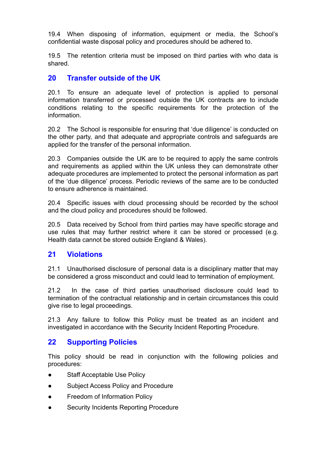19.4 When disposing of information, equipment or media, the School's confidential waste disposal policy and procedures should be adhered to.

19.5 The retention criteria must be imposed on third parties with who data is shared.

### <span id="page-12-0"></span>**20 Transfer outside of the UK**

20.1 To ensure an adequate level of protection is applied to personal information transferred or processed outside the UK contracts are to include conditions relating to the specific requirements for the protection of the information.

20.2 The School is responsible for ensuring that 'due diligence' is conducted on the other party, and that adequate and appropriate controls and safeguards are applied for the transfer of the personal information.

20.3 Companies outside the UK are to be required to apply the same controls and requirements as applied within the UK unless they can demonstrate other adequate procedures are implemented to protect the personal information as part of the 'due diligence' process. Periodic reviews of the same are to be conducted to ensure adherence is maintained.

20.4 Specific issues with cloud processing should be recorded by the school and the cloud policy and procedures should be followed.

20.5 Data received by School from third parties may have specific storage and use rules that may further restrict where it can be stored or processed (e.g. Health data cannot be stored outside England & Wales).

#### <span id="page-12-1"></span>**21 Violations**

21.1 Unauthorised disclosure of personal data is a disciplinary matter that may be considered a gross misconduct and could lead to termination of employment.

21.2 In the case of third parties unauthorised disclosure could lead to termination of the contractual relationship and in certain circumstances this could give rise to legal proceedings.

21.3 Any failure to follow this Policy must be treated as an incident and investigated in accordance with the Security Incident Reporting Procedure.

# <span id="page-12-2"></span>**22 Supporting Policies**

This policy should be read in conjunction with the following policies and procedures:

- Staff Acceptable Use Policy
- Subject Access Policy and Procedure
- Freedom of Information Policy
- **Security Incidents Reporting Procedure**